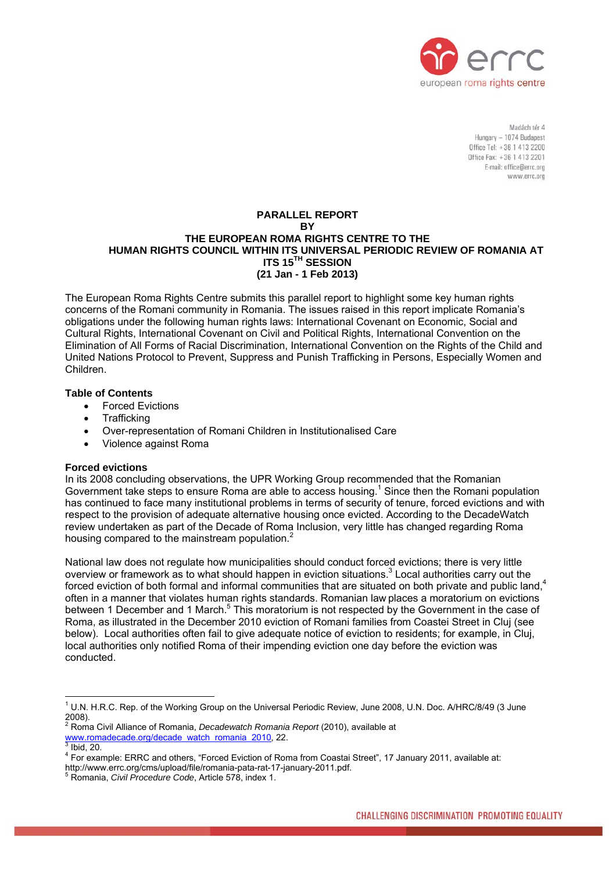

Madách tár A Hungary - 1074 Budapest Office Tel: +36 1 413 2200 Office Fax: +36 1 413 2201 E-mail: office@errc.org www.errc.org

### **PARALLEL REPORT BY THE EUROPEAN ROMA RIGHTS CENTRE TO THE HUMAN RIGHTS COUNCIL WITHIN ITS UNIVERSAL PERIODIC REVIEW OF ROMANIA AT ITS 15TH SESSION (21 Jan - 1 Feb 2013)**

The European Roma Rights Centre submits this parallel report to highlight some key human rights concerns of the Romani community in Romania. The issues raised in this report implicate Romania's obligations under the following human rights laws: International Covenant on Economic, Social and Cultural Rights, International Covenant on Civil and Political Rights, International Convention on the Elimination of All Forms of Racial Discrimination, International Convention on the Rights of the Child and United Nations Protocol to Prevent, Suppress and Punish Trafficking in Persons, Especially Women and Children.

# **Table of Contents**

- Forced Evictions
- Trafficking
- Over-representation of Romani Children in Institutionalised Care
- Violence against Roma

## **Forced evictions**

In its 2008 concluding observations, the UPR Working Group recommended that the Romanian Governmenttake steps to ensure Roma are able to access housing.<sup>1</sup> Since then the Romani population has continued to face many institutional problems in terms of security of tenure, forced evictions and with respect to the provision of adequate alternative housing once evicted. According to the DecadeWatch review undertaken as part of the Decade of Roma Inclusion, very little has changed regarding Roma housingcompared to the mainstream population. $2$ 

National law does not regulate how municipalities should conduct forced evictions; there is very little overview or framework as to what should happen in eviction situations. $3$  Local authorities carry out the forced eviction of both formal and informal communities that are situated on both private and public land.<sup>4</sup> often in a manner that violates human rights standards. Romanian law places a moratorium on evictions between 1 December and 1 March.<sup>5</sup> This moratorium is not respected by the Government in the case of Roma, as illustrated in the December 2010 eviction of Romani families from Coastei Street in Cluj (see below). Local authorities often fail to give adequate notice of eviction to residents; for example, in Cluj, local authorities only notified Roma of their impending eviction one day before the eviction was conducted.

<span id="page-0-0"></span> $\overline{a}$ <sup>1</sup> U.N. H.R.C. Rep. of the Working Group on the Universal Periodic Review, June 2008, U.N. Doc. A/HRC/8/49 (3 June 2008).

<span id="page-0-1"></span><sup>2</sup> Roma Civil Alliance of Romania, *Decadewatch Romania Report* (2010), available at [www.romadecade.org/decade\\_watch\\_romania\\_2010,](http://www.romadecade.org/decade_watch_romania_2010) 22.<br><sup>3</sup> lhid. 20

<span id="page-0-2"></span> $^3$  Ibid, 20.<br> $^4$  Eer even

<span id="page-0-3"></span>For example: ERRC and others, "Forced Eviction of Roma from Coastai Street", 17 January 2011, available at:

http://www.errc.org/cms/upload/file/romania-pata-rat-17-january-2011.pdf.

<span id="page-0-4"></span>Romania, *Civil Procedure Code*, Article 578, index 1.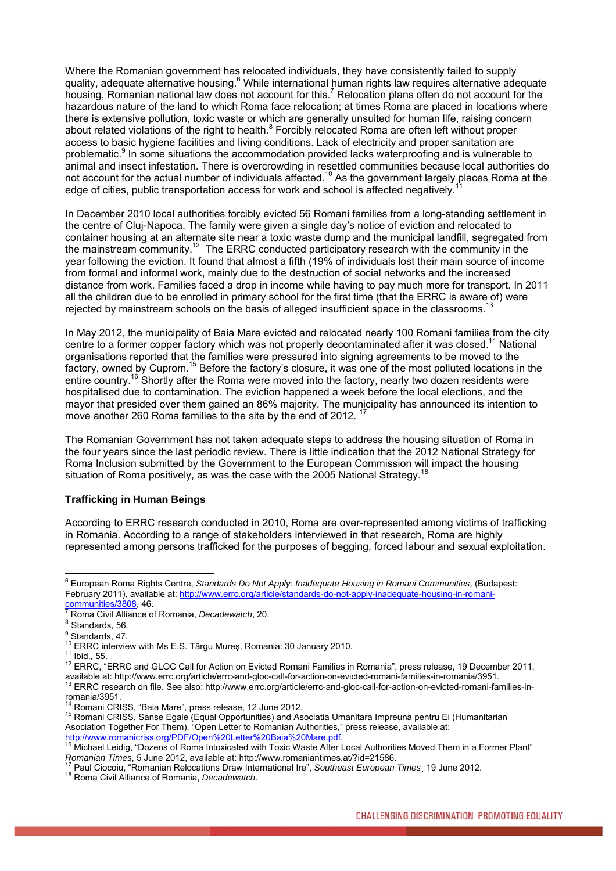Where the Romanian government has relocated individuals, they have consistently failed to supply quality, adequate alternative housing.<sup>[6](#page-1-0)</sup> While international human rights law requires alternative adequate housing,Romanian national law does not account for this.<sup>7</sup> Relocation plans often do not account for the hazardous nature of the land to which Roma face relocation; at times Roma are placed in locations where there is extensive pollution, toxic waste or which are generally unsuited for human life, raising concern aboutrelated violations of the right to health.<sup>8</sup> Forcibly relocated Roma are often left without proper access to basic hygiene facilities and living conditions. Lack of electricity and proper sanitation are problematic.<sup>9</sup> [I](#page-1-3)n some situations the accommodation provided lacks waterproofing and is vulnerable to animal and insect infestation. There is overcrowding in resettled communities because local authorities do not account for the actual number of individuals affected.<sup>10</sup> As the government largely places Roma at the edge of cities, public transportation access for work and school is affected negatively.<sup>1</sup>

In December 2010 local authorities forcibly evicted 56 Romani families from a long-standing settlement in the centre of Cluj-Napoca. The family were given a single day's notice of eviction and relocated to container housing at an alternate site near a toxic waste dump and the municipal landfill, segregated from the mainstream community.[12](#page-1-6) The ERRC conducted participatory research with the community in the year following the eviction. It found that almost a fifth (19% of individuals lost their main source of income from formal and informal work, mainly due to the destruction of social networks and the increased distance from work. Families faced a drop in income while having to pay much more for transport. In 2011 all the children due to be enrolled in primary school for the first time (that the ERRC is aware of) were rejected by mainstream schools on the basis of alleged insufficient space in the classrooms.

In May 2012, the municipality of Baia Mare evicted and relocated nearly 100 Romani families from the city centre to a former copper factory which was not properly decontaminated after it was closed.<sup>14</sup> National organisations reported that the families were pressured into signing agreements to be moved to the factory, owned by Cuprom.<sup>15</sup> Before the factory's closure, it was one of the most polluted locations in the entire country.<sup>16</sup> Shortly after the Roma were moved into the factory, nearly two dozen residents were hospitalised due to contamination. The eviction happened a week before the local elections, and the mayor that presided over them gained an 86% majority. The municipality has announced its intention to move another 260 Roma families to the site by the end of 2012.

The Romanian Government has not taken adequate steps to address the housing situation of Roma in the four years since the last periodic review. There is little indication that the 2012 National Strategy for Roma Inclusion submitted by the Government to the European Commission will impact the housing situation of Roma positively, as was the case with the 2005 National Strategy.<sup>18</sup>

### **Trafficking in Human Beings**

According to ERRC research conducted in 2010, Roma are over-represented among victims of trafficking in Romania. According to a range of stakeholders interviewed in that research, Roma are highly represented among persons trafficked for the purposes of begging, forced labour and sexual exploitation.

<span id="page-1-0"></span> 6 European Roma Rights Centre, *Standards Do Not Apply: Inadequate Housing in Romani Communities*, (Budapest: February 2011), available at: [http://www.errc.org/article/standards-do-not-apply-inadequate-housing-in-romani-](http://www.errc.org/article/standards-do-not-apply-inadequate-housing-in-romani-communities/3808) $\frac{1}{2}$ [communities/3808](http://www.errc.org/article/standards-do-not-apply-inadequate-housing-in-romani-communities/3808), 46.

<span id="page-1-1"></span><sup>&</sup>lt;sup>7</sup> Roma Civil Alliance of Romania, *Decadewatch*, 20. <sup>8</sup> Standards. 56.

<span id="page-1-2"></span>

<span id="page-1-3"></span><sup>&</sup>lt;sup>9</sup> Standards, 47.

<span id="page-1-4"></span>

<span id="page-1-6"></span><span id="page-1-5"></span>

<sup>&</sup>lt;sup>10</sup> ERRC interview with Ms E.S. Târgu Mureş, Romania: 30 January 2010.<br><sup>11</sup> Ibid., 55.<br><sup>12</sup> ERRC, "ERRC and GLOC Call for Action on Evicted Romani Families in Romania", press release, 19 December 2011,<br>available at: http:

<span id="page-1-7"></span><sup>&</sup>lt;sup>13</sup> ERRC research on file. See also: http://www.errc.org/article/errc-and-gloc-call-for-action-on-evicted-romani-families-in-<br>romania/3951.

<span id="page-1-9"></span><span id="page-1-8"></span>

<sup>&</sup>lt;sup>14</sup> Romani CRISS, "Baia Mare", press release, 12 June 2012.<br><sup>15</sup> Romani CRISS, Sanse Egale (Equal Opportunities) and Asociatia Umanitara Impreuna pentru Ei (Humanitarian Asociation Together For Them), "Open Letter to Romanian Authorities," press release, available at:<br>http://www.romanicriss.org/PDF/Open%20Letter%20Baia%20Mare.pdf.

<span id="page-1-10"></span>Michael Leidig, "Dozens of Roma Intoxicated with Toxic Waste After Local Authorities Moved Them in a Former Plant" Romanian Times, 5 June 2012, available at: http://www.romaniantimes.at/?id=21586.<br><sup>17</sup> Paul Ciocoiu, "Romanian Relocations Draw International Ire", Southeast European Times, 19 June 2012.<br><sup>18</sup> Roma Civil Alliance of Romani

<span id="page-1-11"></span>

<span id="page-1-12"></span>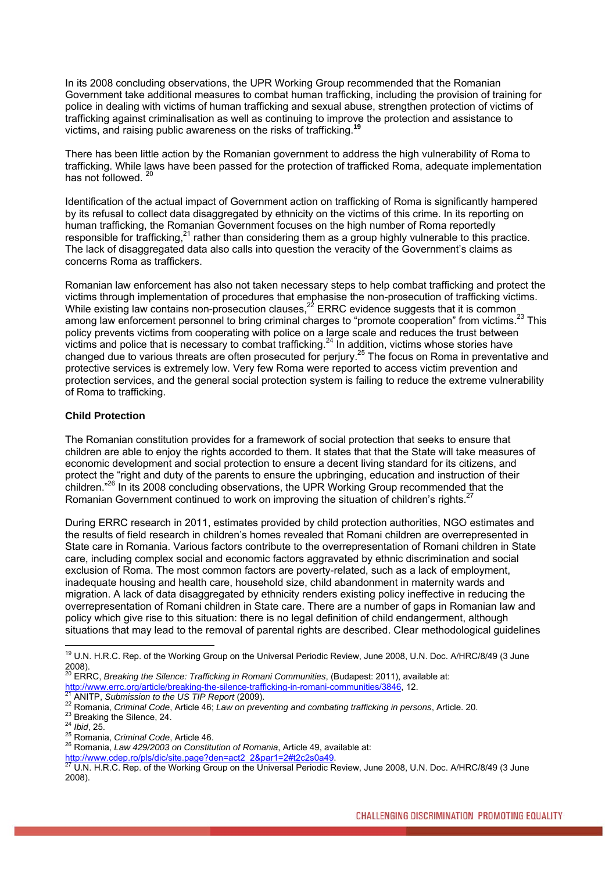In its 2008 concluding observations, the UPR Working Group recommended that the Romanian Government take additional measures to combat human trafficking, including the provision of training for police in dealing with victims of human trafficking and sexual abuse, strengthen protection of victims of trafficking against criminalisation as well as continuing to improve the protection and assistance to victims, and raising public awareness on the risks of trafficking.

There has been little action by the Romanian government to address the high vulnerability of Roma to trafficking. While laws have been passed for the protection of trafficked Roma, adequate implementation has not followed.<sup>[20](#page-2-1)</sup>

Identification of the actual impact of Government action on trafficking of Roma is significantly hampered by its refusal to collect data disaggregated by ethnicity on the victims of this crime. In its reporting on human trafficking, the Romanian Government focuses on the high number of Roma reportedly responsible for trafficking, $^{21}$  rather than considering them as a group highly vulnerable to this practice. The lack of disaggregated data also calls into question the veracity of the Government's claims as concerns Roma as traffickers.

Romanian law enforcement has also not taken necessary steps to help combat trafficking and protect the victims through implementation of procedures that emphasise the non-prosecution of trafficking victims. While existing law contains non-prosecution clauses, $^{22}$  ERRC evidence suggests that it is common among law enforcement personnel to bring criminal charges to "promote cooperation" from victims.<sup>23</sup> This policy prevents victims from cooperating with police on a large scale and reduces the trust between victims and police that is necessary to combat trafficking. $^{24}$  In addition, victims whose stories have changed due to various threats are often prosecuted for perjury.[25](#page-2-6) The focus on Roma in preventative and protective services is extremely low. Very few Roma were reported to access victim prevention and protection services, and the general social protection system is failing to reduce the extreme vulnerability of Roma to trafficking.

### **Child Protection**

The Romanian constitution provides for a framework of social protection that seeks to ensure that children are able to enjoy the rights accorded to them. It states that that the State will take measures of economic development and social protection to ensure a decent living standard for its citizens, and protect the "right and duty of the parents to ensure the upbringing, education and instruction of their children." [26](#page-2-7) In its 2008 concluding observations, the UPR Working Group recommended that the Romanian Government continued to work on improving the situation of children's rights.<sup>[27](#page-2-8)</sup>

During ERRC research in 2011, estimates provided by child protection authorities, NGO estimates and the results of field research in children's homes revealed that Romani children are overrepresented in State care in Romania. Various factors contribute to the overrepresentation of Romani children in State care, including complex social and economic factors aggravated by ethnic discrimination and social exclusion of Roma. The most common factors are poverty-related, such as a lack of employment, inadequate housing and health care, household size, child abandonment in maternity wards and migration. A lack of data disaggregated by ethnicity renders existing policy ineffective in reducing the overrepresentation of Romani children in State care. There are a number of gaps in Romanian law and policy which give rise to this situation: there is no legal definition of child endangerment, although situations that may lead to the removal of parental rights are described. Clear methodological guidelines

 $\overline{a}$ 

<span id="page-2-0"></span><sup>&</sup>lt;sup>19</sup> U.N. H.R.C. Rep. of the Working Group on the Universal Periodic Review, June 2008, U.N. Doc. A/HRC/8/49 (3 June 2008).

<span id="page-2-1"></span><sup>&</sup>lt;sup>20</sup> ERRC, *Breaking the Silence: Trafficking in Romani Communities*, (Budapest: 2011), available at:<br>http://www.errc.org/article/breaking-the-silence-trafficking-in-romani-communities/3846, 12.

<span id="page-2-3"></span><span id="page-2-2"></span>

<sup>&</sup>lt;sup>21</sup> ANITP, Submission to the US TIP Report (2009).<br>
<sup>22</sup> Romania, Criminal Code, Article 46; Law on preventing and combating trafficking in persons, Article. 20.<br>
<sup>23</sup> Breaking the Silence, 24.<br>
<sup>24</sup> Ibid, 25.<br>
<sup>25</sup> Roma

<span id="page-2-4"></span>

<span id="page-2-5"></span>

<span id="page-2-6"></span>

<span id="page-2-7"></span>

<span id="page-2-8"></span>

http://www.cdep.ro/pls/dic/site.page?den=act2\_2&par1=2#t2c2s0a49.<br><sup>27</sup> U.N. H.R.C. Rep. of the Working Group on the Universal Periodic Review, June 2008, U.N. Doc. A/HRC/8/49 (3 June 2008).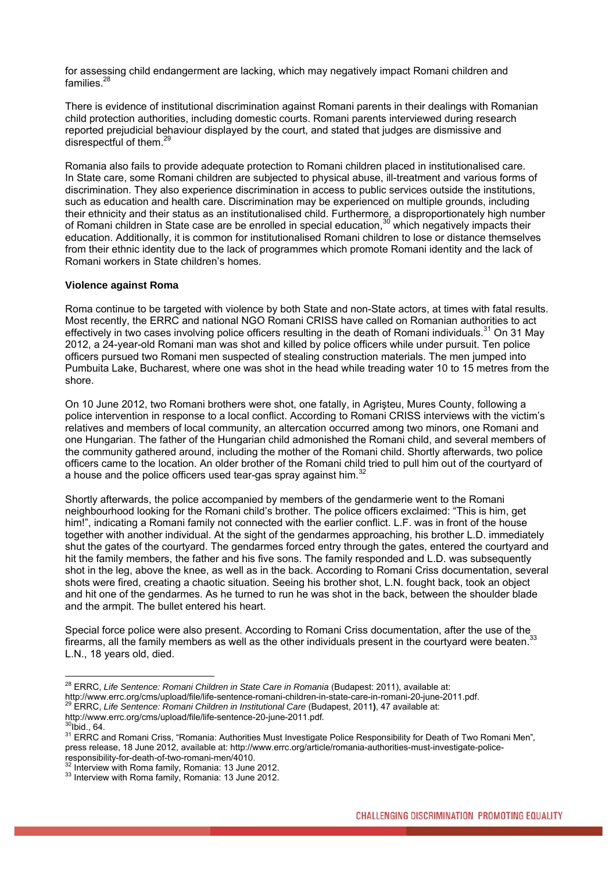for assessing child endangerment are lacking, which may negatively impact Romani children and families.<sup>[28](#page-3-0)</sup>

There is evidence of institutional discrimination against Romani parents in their dealings with Romanian child protection authorities, including domestic courts. Romani parents interviewed during research reported prejudicial behaviour displayed by the court, and stated that judges are dismissive and disrespectful of them.<sup>29</sup>

Romania also fails to provide adequate protection to Romani children placed in institutionalised care. In State care, some Romani children are subjected to physical abuse, ill-treatment and various forms of discrimination. They also experience discrimination in access to public services outside the institutions, such as education and health care. Discrimination may be experienced on multiple grounds, including their ethnicity and their status as an institutionalised child. Furthermore, a disproportionately high number of Romani children in State case are be enrolled in special education,<sup>30</sup> which negatively impacts their education. Additionally, it is common for institutionalised Romani children to lose or distance themselves from their ethnic identity due to the lack of programmes which promote Romani identity and the lack of Romani workers in State children's homes.

#### **Violence against Roma**

Roma continue to be targeted with violence by both State and non-State actors, at times with fatal results. Most recently, the ERRC and national NGO Romani CRISS have called on Romanian authorities to act effectively in two cases involving police officers resulting in the death of Romani individuals.<sup>31</sup> On [31](#page-3-3) May 2012, a 24-year-old Romani man was shot and killed by police officers while under pursuit. Ten police officers pursued two Romani men suspected of stealing construction materials. The men jumped into Pumbuita Lake, Bucharest, where one was shot in the head while treading water 10 to 15 metres from the shore.

On 10 June 2012, two Romani brothers were shot, one fatally, in Agrişteu, Mures County, following a police intervention in response to a local conflict. According to Romani CRISS interviews with the victim's relatives and members of local community, an altercation occurred among two minors, one Romani and one Hungarian. The father of the Hungarian child admonished the Romani child, and several members of the community gathered around, including the mother of the Romani child. Shortly afterwards, two police officers came to the location. An older brother of the Romani child tried to pull him out of the courtyard of a house and the police officers used tear-gas spray against him.<sup>32</sup>

Shortly afterwards, the police accompanied by members of the gendarmerie went to the Romani neighbourhood looking for the Romani child's brother. The police officers exclaimed: "This is him, get him!", indicating a Romani family not connected with the earlier conflict. L.F. was in front of the house together with another individual. At the sight of the gendarmes approaching, his brother L.D. immediately shut the gates of the courtyard. The gendarmes forced entry through the gates, entered the courtyard and hit the family members, the father and his five sons. The family responded and L.D. was subsequently shot in the leg, above the knee, as well as in the back. According to Romani Criss documentation, several shots were fired, creating a chaotic situation. Seeing his brother shot, L.N. fought back, took an object and hit one of the gendarmes. As he turned to run he was shot in the back, between the shoulder blade and the armpit. The bullet entered his heart.

Special force police were also present. According to Romani Criss documentation, after the use of the firearms, all the family members as well as the other individuals present in the courtvard were beaten.<sup>[33](#page-3-5)</sup> L.N., 18 years old, died.

<span id="page-3-0"></span><sup>28</sup> ERRC, *Life Sentence: Romani Children in State Care in Romania* (Budapest: 2011), available at: http://www.errc.org/cms/upload/file/life-sentence-romani-children-in-state-care-in-romani-20-june-2011.pdf.<br><sup>29</sup> ERRC, *Life Sentence: Romani Children in Institutional Care* (Budapest, 2011), 47 available at:<br>http://www.er

<span id="page-3-1"></span>

<span id="page-3-3"></span><span id="page-3-2"></span>

<sup>&</sup>lt;sup>30</sup>Ibid., 64.<br><sup>31</sup> ERRC and Romani Criss, "Romania: Authorities Must Investigate Police Responsibility for Death of Two Romani Men"*,* press release, 18 June 2012, available at: http://www.errc.org/article/romania-authorities-must-investigate-police-<br>responsibility-for-death-of-two-romani-men/4010.

<span id="page-3-4"></span> $\frac{32}{31}$  Interview with Roma family, Romania: 13 June 2012.  $\frac{33}{31}$  Interview with Roma family, Romania: 13 June 2012.

<span id="page-3-5"></span>